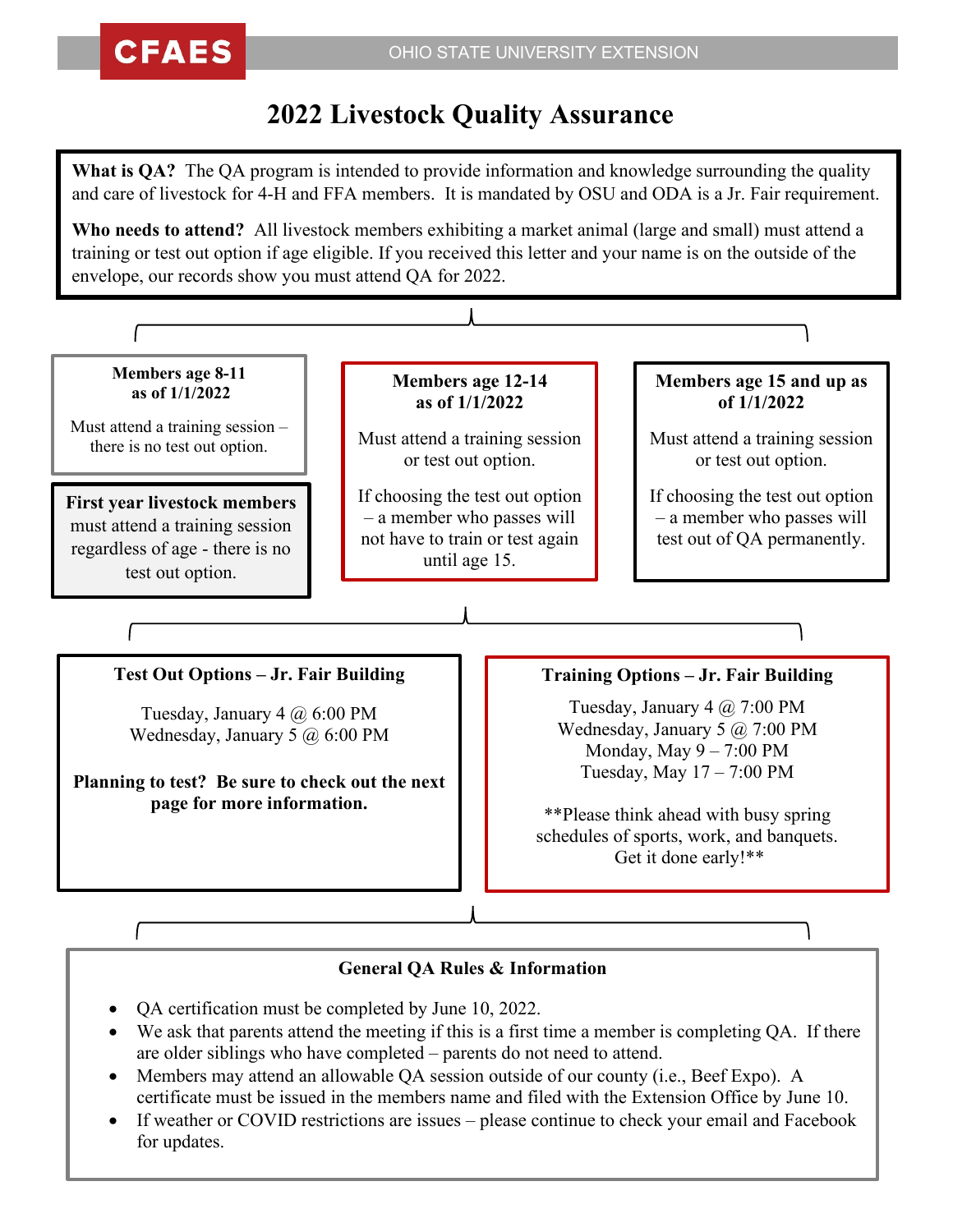## **2022 Livestock Quality Assurance**

**What is QA?** The QA program is intended to provide information and knowledge surrounding the quality and care of livestock for 4-H and FFA members. It is mandated by OSU and ODA is a Jr. Fair requirement.

**Who needs to attend?** All livestock members exhibiting a market animal (large and small) must attend a training or test out option if age eligible. If you received this letter and your name is on the outside of the envelope, our records show you must attend QA for 2022.



- We ask that parents attend the meeting if this is a first time a member is completing QA. If there are older siblings who have completed – parents do not need to attend.
- Members may attend an allowable QA session outside of our county (i.e., Beef Expo). A certificate must be issued in the members name and filed with the Extension Office by June 10.
- If weather or COVID restrictions are issues please continue to check your email and Facebook for updates.